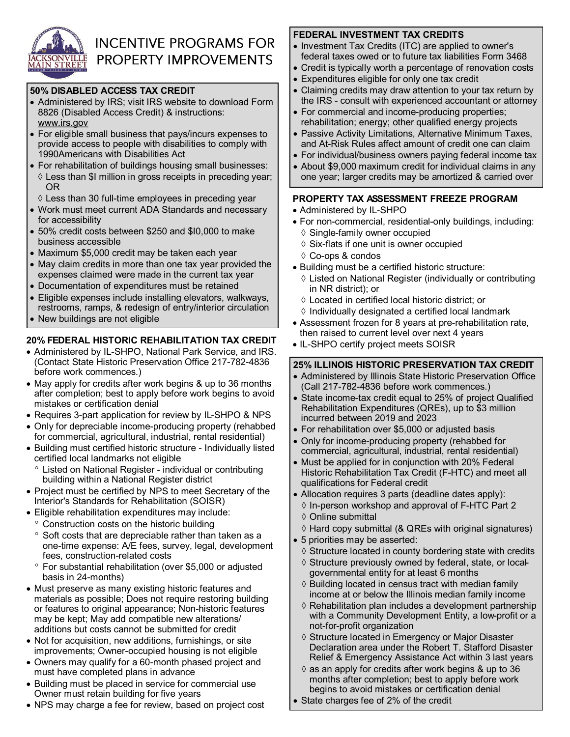

# **INCENTIVE PROGRAMS FOR PROPERTY IMPROVEMENTS**

#### **50% DISABLED ACCESS TAX CREDIT**

- Administered by IRS; visit IRS website to download Form 8826 (Disabled Access Credit) & instructions: www.irs.gov
- For eligible small business that pays/incurs expenses to provide access to people with disabilities to comply with 1990Americans with Disabilities Act
- For rehabilitation of buildings housing small businesses:  $\Diamond$  Less than \$I million in gross receipts in preceding year; OR
	- $\Diamond$  Less than 30 full-time employees in preceding year
- Work must meet current ADA Standards and necessary for accessibility
- 50% credit costs between \$250 and \$I0,000 to make business accessible
- Maximum \$5,000 credit may be taken each year
- May claim credits in more than one tax year provided the expenses claimed were made in the current tax year
- Documentation of expenditures must be retained
- Eligible expenses include installing elevators, walkways, restrooms, ramps, & redesign of entry/interior circulation
- New buildings are not eligible

## **20% FEDERAL HISTORIC REHABILITATION TAX CREDIT**

- Administered by IL-SHPO, National Park Service, and IRS. (Contact State Historic Preservation Office 217-782-4836 before work commences.)
- May apply for credits after work begins & up to 36 months after completion; best to apply before work begins to avoid mistakes or certification denial
- Requires 3-part application for review by IL-SHPO & NPS
- Only for depreciable income-producing property (rehabbed for commercial, agricultural, industrial, rental residential)
- Building must certified historic structure Individually listed certified local landmarks not eligible
	- Listed on National Register individual or contributing building within a National Register district
- Project must be certified by NPS to meet Secretary of the Interior's Standards for Rehabilitation (SOISR)
- Eligible rehabilitation expenditures may include:
	- Construction costs on the historic building
	- ° Soft costs that are depreciable rather than taken as a one-time expense: A/E fees, survey, legal, development fees, construction-related costs
	- For substantial rehabilitation (over \$5,000 or adjusted basis in 24-months)
- Must preserve as many existing historic features and materials as possible; Does not require restoring building or features to original appearance; Non-historic features may be kept; May add compatible new alterations/ additions but costs cannot be submitted for credit
- Not for acquisition, new additions, furnishings, or site improvements; Owner-occupied housing is not eligible
- Owners may qualify for a 60-month phased project and must have completed plans in advance
- Building must be placed in service for commercial use Owner must retain building for five years
- NPS may charge a fee for review, based on project cost

# **FEDERAL INVESTMENT TAX CREDITS**

- Investment Tax Credits (ITC) are applied to owner's federal taxes owed or to future tax liabilities Form 3468
- Credit is typically worth a percentage of renovation costs
- Expenditures eligible for only one tax credit
- Claiming credits may draw attention to your tax return by the IRS - consult with experienced accountant or attorney
- For commercial and income-producing properties; rehabilitation; energy; other qualified energy projects
- Passive Activity Limitations, Alternative Minimum Taxes, and At-Risk Rules affect amount of credit one can claim
- For individual/business owners paying federal income tax
- About \$9,000 maximum credit for individual claims in any one year; larger credits may be amortized & carried over

# **PROPERTY TAX ASSESSMENT FREEZE PROGRAM**

- Administered by IL-SHPO
- For non-commercial, residential-only buildings, including:
	- ♦ Single-family owner occupied
	- $\diamond$  Six-flats if one unit is owner occupied
	- Co-ops & condos
- Building must be a certified historic structure:
	- $\Diamond$  Listed on National Register (individually or contributing in NR district); or
	- Located in certified local historic district; or
	- $\Diamond$  Individually designated a certified local landmark
- Assessment frozen for 8 years at pre-rehabilitation rate, then raised to current level over next 4 years
- IL-SHPO certify project meets SOISR

# **25% ILLINOIS HISTORIC PRESERVATION TAX CREDIT**

- Administered by Illinois State Historic Preservation Office (Call 217-782-4836 before work commences.)
- State income-tax credit equal to 25% of project Qualified Rehabilitation Expenditures (QREs), up to \$3 million incurred between 2019 and 2023
- For rehabilitation over \$5,000 or adjusted basis
- Only for income-producing property (rehabbed for commercial, agricultural, industrial, rental residential)
- Must be applied for in conjunction with 20% Federal Historic Rehabilitation Tax Credit (F-HTC) and meet all qualifications for Federal credit
- Allocation requires 3 parts (deadline dates apply):
- $\Diamond$  In-person workshop and approval of F-HTC Part 2 Online submittal
- $\Diamond$  Hard copy submittal (& QREs with original signatures)
- 5 priorities may be asserted:
	- $\Diamond$  Structure located in county bordering state with credits
	- $\diamond$  Structure previously owned by federal, state, or localgovernmental entity for at least 6 months
	- $\Diamond$  Building located in census tract with median family income at or below the Illinois median family income
	- $\Diamond$  Rehabilitation plan includes a development partnership with a Community Development Entity, a low-profit or a not-for-profit organization
	- $\diamond$  Structure located in Emergency or Major Disaster Declaration area under the Robert T. Stafford Disaster Relief & Emergency Assistance Act within 3 last years
- $\Diamond$  as an apply for credits after work begins & up to 36 months after completion; best to apply before work begins to avoid mistakes or certification denial
- State charges fee of 2% of the credit